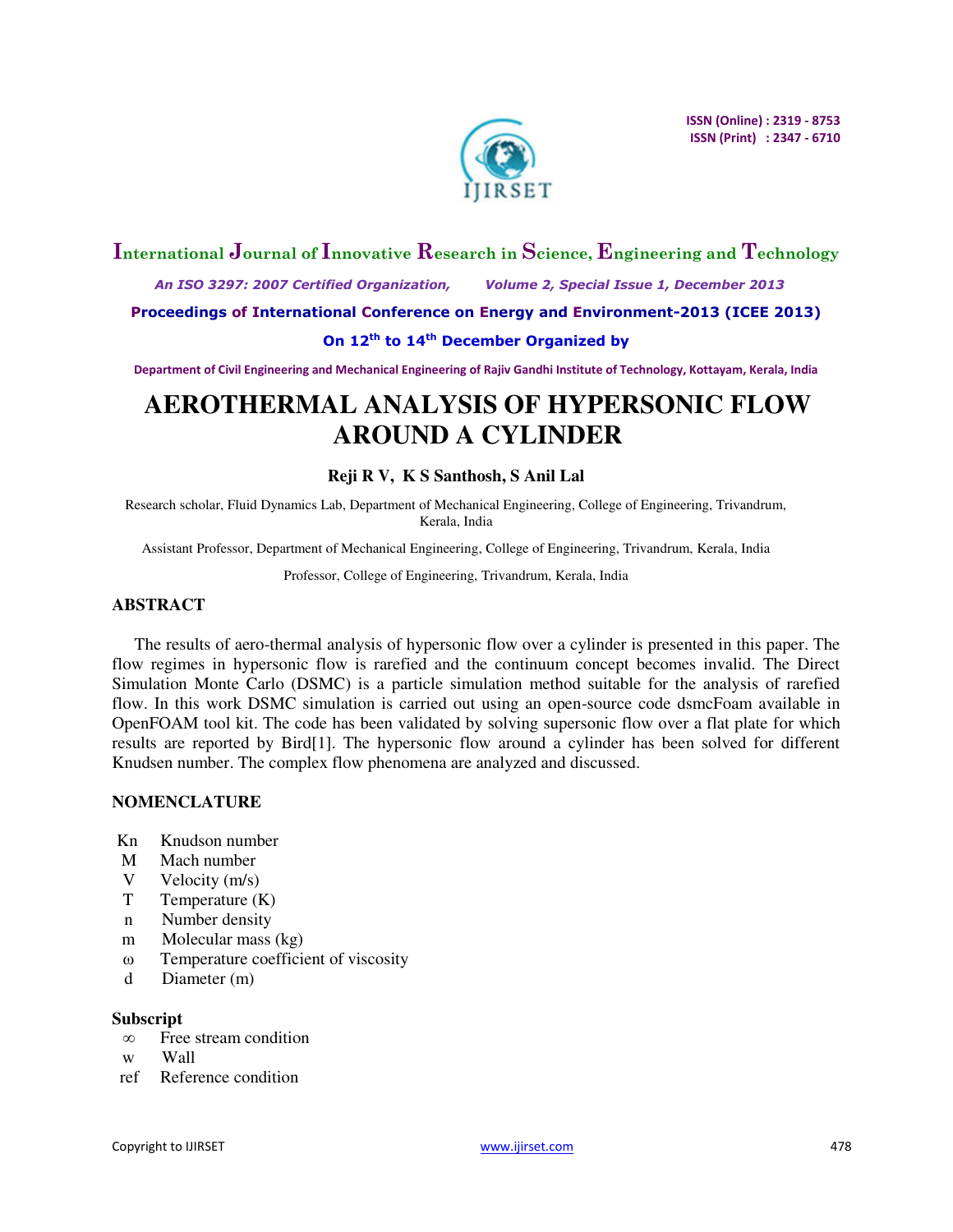

# **International Journal of Innovative Research in Science, Engineering and Technology**

 *An ISO 3297: 2007 Certified Organization, Volume 2, Special Issue 1, December 2013* 

**Proceedings of International Conference on Energy and Environment-2013 (ICEE 2013)** 

# **On 12th to 14th December Organized by**

**Department of Civil Engineering and Mechanical Engineering of Rajiv Gandhi Institute of Technology, Kottayam, Kerala, India** 

# **AEROTHERMAL ANALYSIS OF HYPERSONIC FLOW AROUND A CYLINDER**

# **Reji R V, K S Santhosh, S Anil Lal**

Research scholar, Fluid Dynamics Lab, Department of Mechanical Engineering, College of Engineering, Trivandrum, Kerala, India

Assistant Professor, Department of Mechanical Engineering, College of Engineering, Trivandrum, Kerala, India

Professor, College of Engineering, Trivandrum, Kerala, India

#### **ABSTRACT**

The results of aero-thermal analysis of hypersonic flow over a cylinder is presented in this paper. The flow regimes in hypersonic flow is rarefied and the continuum concept becomes invalid. The Direct Simulation Monte Carlo (DSMC) is a particle simulation method suitable for the analysis of rarefied flow. In this work DSMC simulation is carried out using an open-source code dsmcFoam available in OpenFOAM tool kit. The code has been validated by solving supersonic flow over a flat plate for which results are reported by Bird[1]. The hypersonic flow around a cylinder has been solved for different Knudsen number. The complex flow phenomena are analyzed and discussed.

#### **NOMENCLATURE**

- Kn Knudson number
- M Mach number
- V Velocity (m/s)
- T Temperature (K)
- n Number density
- m Molecular mass (kg)
- ω Temperature coefficient of viscosity
- d Diameter (m)

#### **Subscript**

- ∞ Free stream condition
- w Wall
- ref Reference condition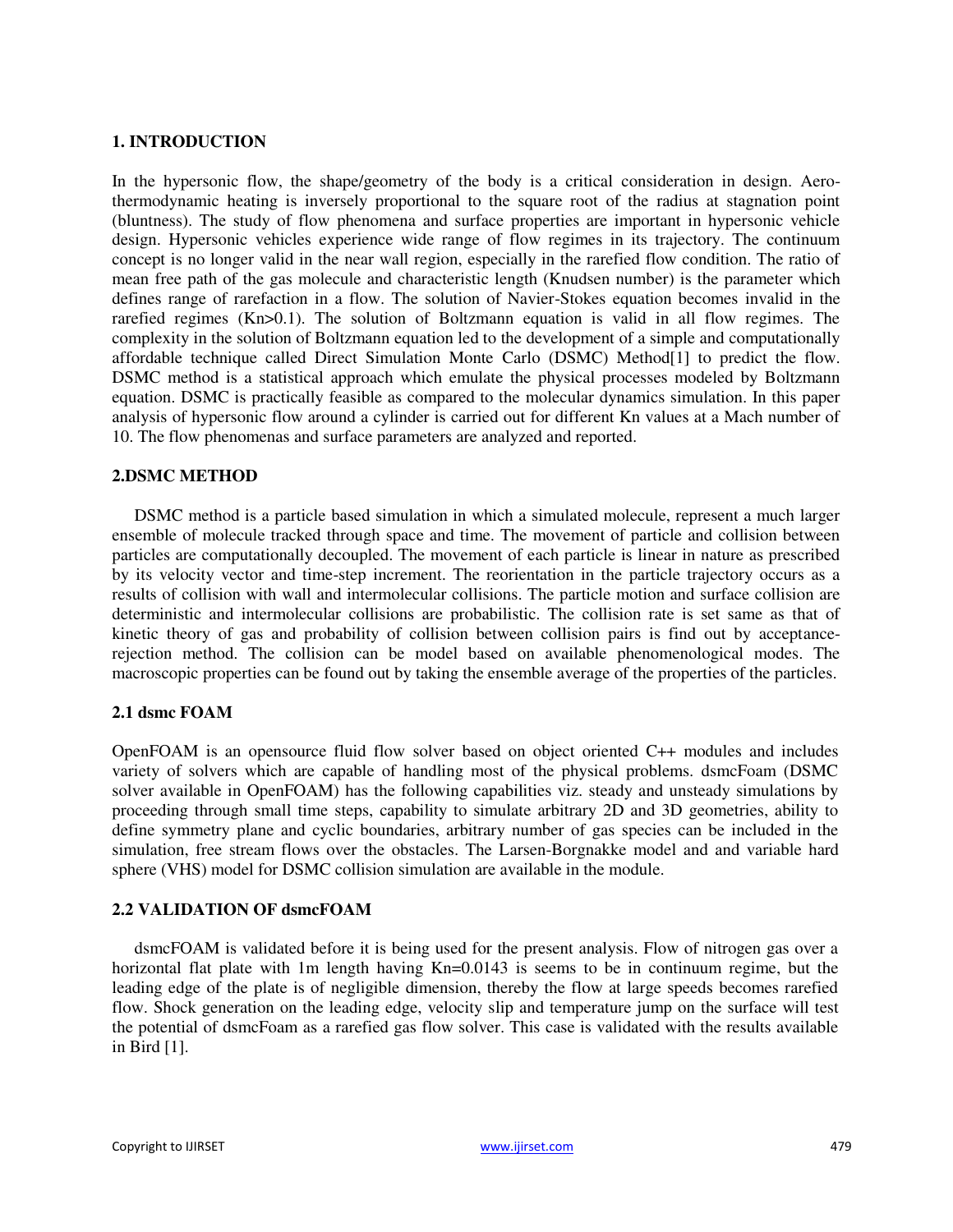# **1. INTRODUCTION**

In the hypersonic flow, the shape/geometry of the body is a critical consideration in design. Aerothermodynamic heating is inversely proportional to the square root of the radius at stagnation point (bluntness). The study of flow phenomena and surface properties are important in hypersonic vehicle design. Hypersonic vehicles experience wide range of flow regimes in its trajectory. The continuum concept is no longer valid in the near wall region, especially in the rarefied flow condition. The ratio of mean free path of the gas molecule and characteristic length (Knudsen number) is the parameter which defines range of rarefaction in a flow. The solution of Navier-Stokes equation becomes invalid in the rarefied regimes (Kn>0.1). The solution of Boltzmann equation is valid in all flow regimes. The complexity in the solution of Boltzmann equation led to the development of a simple and computationally affordable technique called Direct Simulation Monte Carlo (DSMC) Method[1] to predict the flow. DSMC method is a statistical approach which emulate the physical processes modeled by Boltzmann equation. DSMC is practically feasible as compared to the molecular dynamics simulation. In this paper analysis of hypersonic flow around a cylinder is carried out for different Kn values at a Mach number of 10. The flow phenomenas and surface parameters are analyzed and reported.

# **2.DSMC METHOD**

DSMC method is a particle based simulation in which a simulated molecule, represent a much larger ensemble of molecule tracked through space and time. The movement of particle and collision between particles are computationally decoupled. The movement of each particle is linear in nature as prescribed by its velocity vector and time-step increment. The reorientation in the particle trajectory occurs as a results of collision with wall and intermolecular collisions. The particle motion and surface collision are deterministic and intermolecular collisions are probabilistic. The collision rate is set same as that of kinetic theory of gas and probability of collision between collision pairs is find out by acceptancerejection method. The collision can be model based on available phenomenological modes. The macroscopic properties can be found out by taking the ensemble average of the properties of the particles.

### **2.1 dsmc FOAM**

OpenFOAM is an opensource fluid flow solver based on object oriented C++ modules and includes variety of solvers which are capable of handling most of the physical problems. dsmcFoam (DSMC solver available in OpenFOAM) has the following capabilities viz. steady and unsteady simulations by proceeding through small time steps, capability to simulate arbitrary 2D and 3D geometries, ability to define symmetry plane and cyclic boundaries, arbitrary number of gas species can be included in the simulation, free stream flows over the obstacles. The Larsen-Borgnakke model and and variable hard sphere (VHS) model for DSMC collision simulation are available in the module.

#### **2.2 VALIDATION OF dsmcFOAM**

dsmcFOAM is validated before it is being used for the present analysis. Flow of nitrogen gas over a horizontal flat plate with 1m length having Kn=0.0143 is seems to be in continuum regime, but the leading edge of the plate is of negligible dimension, thereby the flow at large speeds becomes rarefied flow. Shock generation on the leading edge, velocity slip and temperature jump on the surface will test the potential of dsmcFoam as a rarefied gas flow solver. This case is validated with the results available in Bird [1].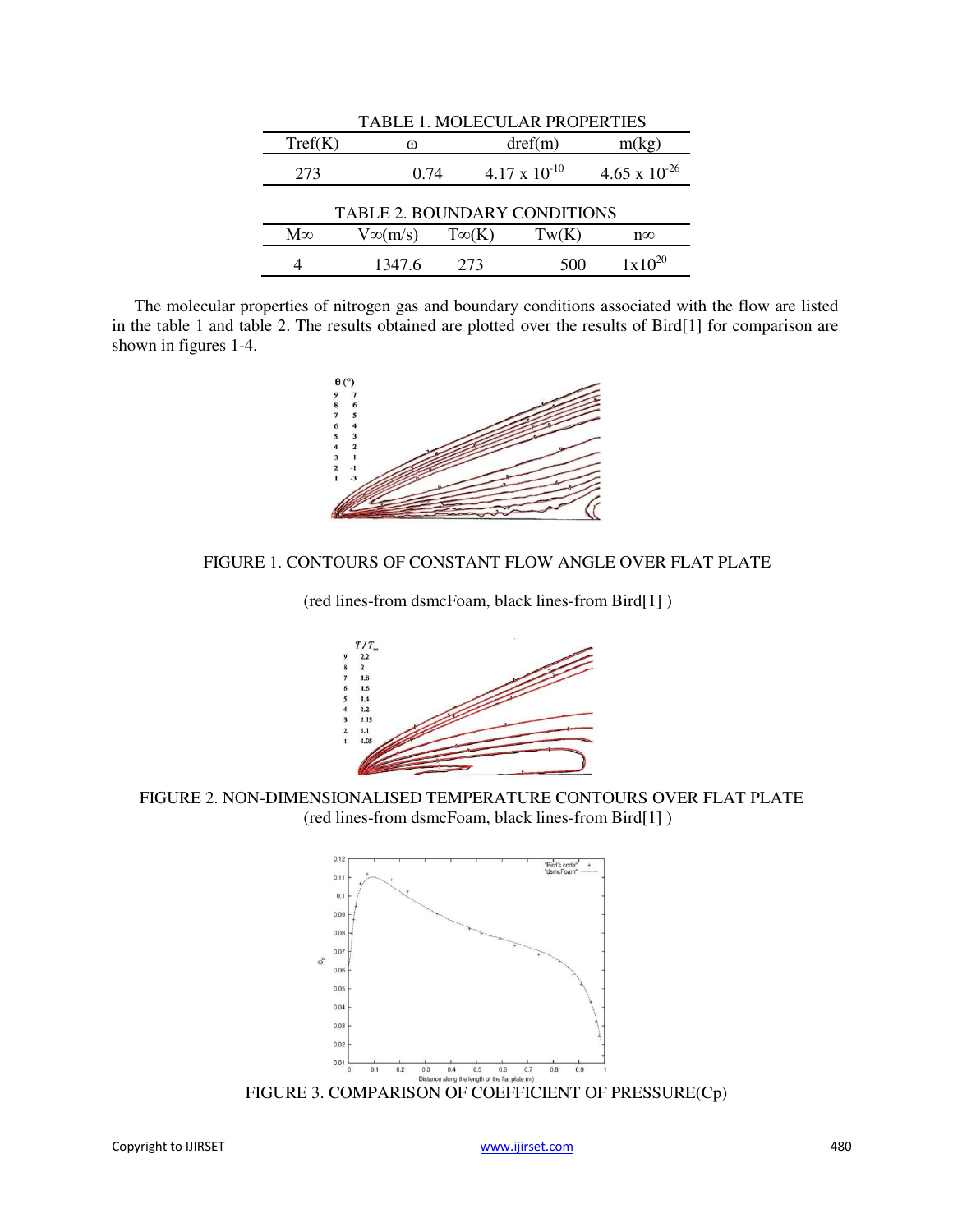| <b>TABLE 1. MOLECULAR PROPERTIES</b> |                |              |                        |                        |  |  |
|--------------------------------------|----------------|--------------|------------------------|------------------------|--|--|
| Tref(K)                              | ┉              |              | $\text{dref}(m)$       | m(kg)                  |  |  |
| 273                                  | 0.74           |              | $4.17 \times 10^{-10}$ | $4.65 \times 10^{-26}$ |  |  |
| <b>TABLE 2. BOUNDARY CONDITIONS</b>  |                |              |                        |                        |  |  |
| $M\infty$                            | $V\infty(m/s)$ | $T\infty(K)$ | Tw(K)                  | $n\infty$              |  |  |
|                                      | 1347.6         | 273          | 500                    | $1 \times 10^{20}$     |  |  |

The molecular properties of nitrogen gas and boundary conditions associated with the flow are listed in the table 1 and table 2. The results obtained are plotted over the results of Bird[1] for comparison are shown in figures 1-4.



# FIGURE 1. CONTOURS OF CONSTANT FLOW ANGLE OVER FLAT PLATE

(red lines-from dsmcFoam, black lines-from Bird[1] )



FIGURE 2. NON-DIMENSIONALISED TEMPERATURE CONTOURS OVER FLAT PLATE (red lines-from dsmcFoam, black lines-from Bird[1] )



FIGURE 3. COMPARISON OF COEFFICIENT OF PRESSURE(Cp)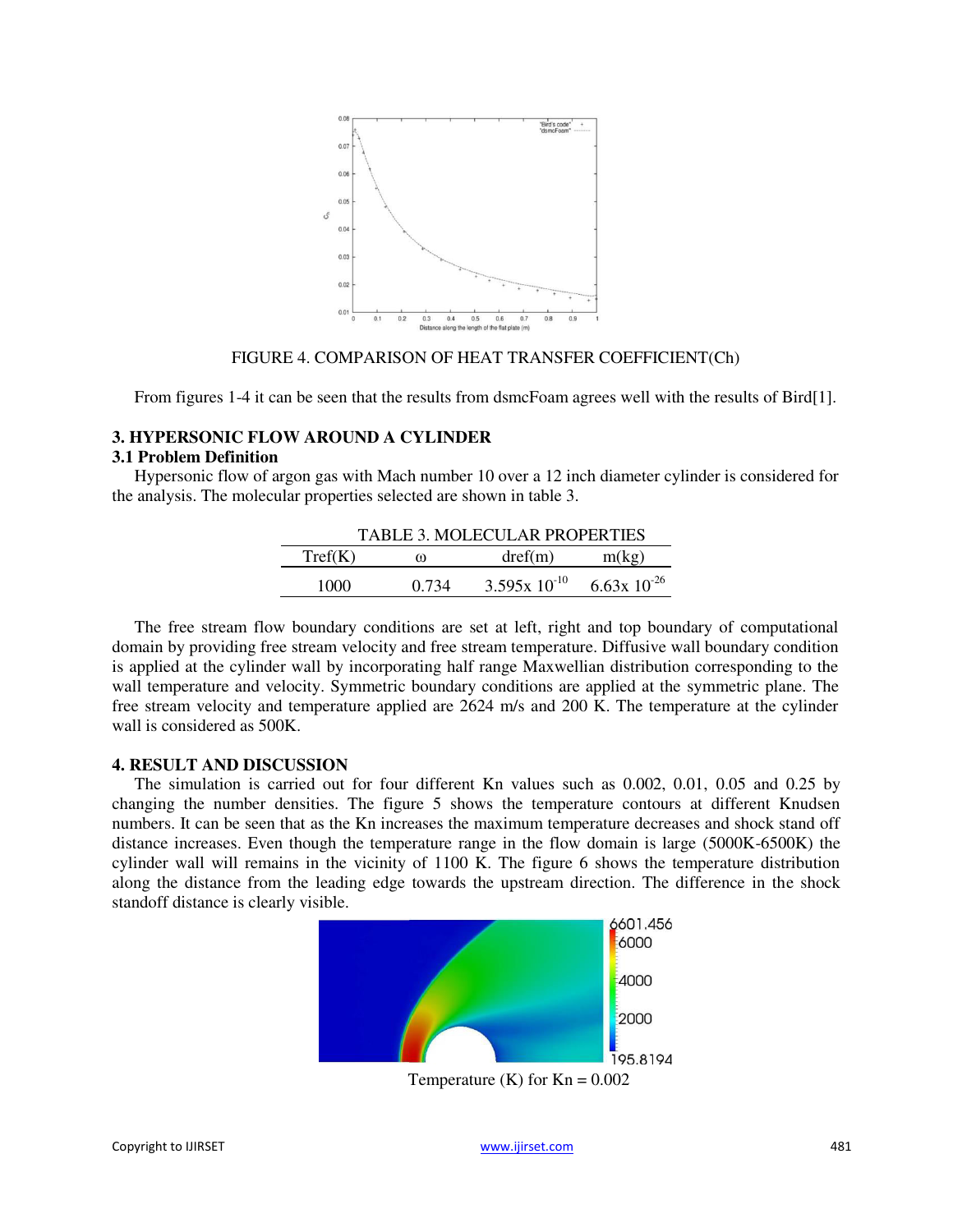

#### FIGURE 4. COMPARISON OF HEAT TRANSFER COEFFICIENT(Ch)

From figures 1-4 it can be seen that the results from dsmcFoam agrees well with the results of Bird[1].

# **3. HYPERSONIC FLOW AROUND A CYLINDER**

#### **3.1 Problem Definition**

Hypersonic flow of argon gas with Mach number 10 over a 12 inch diameter cylinder is considered for the analysis. The molecular properties selected are shown in table 3.

| <b>TABLE 3. MOLECULAR PROPERTIES</b> |       |                   |                   |  |  |
|--------------------------------------|-------|-------------------|-------------------|--|--|
| Tref(K)                              | ┉     | dref(m)           | m(kg)             |  |  |
| 1000                                 | 0.734 | $3.595x 10^{-10}$ | $6.63x\ 10^{-26}$ |  |  |

The free stream flow boundary conditions are set at left, right and top boundary of computational domain by providing free stream velocity and free stream temperature. Diffusive wall boundary condition is applied at the cylinder wall by incorporating half range Maxwellian distribution corresponding to the wall temperature and velocity. Symmetric boundary conditions are applied at the symmetric plane. The free stream velocity and temperature applied are 2624 m/s and 200 K. The temperature at the cylinder wall is considered as 500K.

### **4. RESULT AND DISCUSSION**

The simulation is carried out for four different Kn values such as 0.002, 0.01, 0.05 and 0.25 by changing the number densities. The figure 5 shows the temperature contours at different Knudsen numbers. It can be seen that as the Kn increases the maximum temperature decreases and shock stand off distance increases. Even though the temperature range in the flow domain is large (5000K-6500K) the cylinder wall will remains in the vicinity of 1100 K. The figure 6 shows the temperature distribution along the distance from the leading edge towards the upstream direction. The difference in the shock standoff distance is clearly visible.

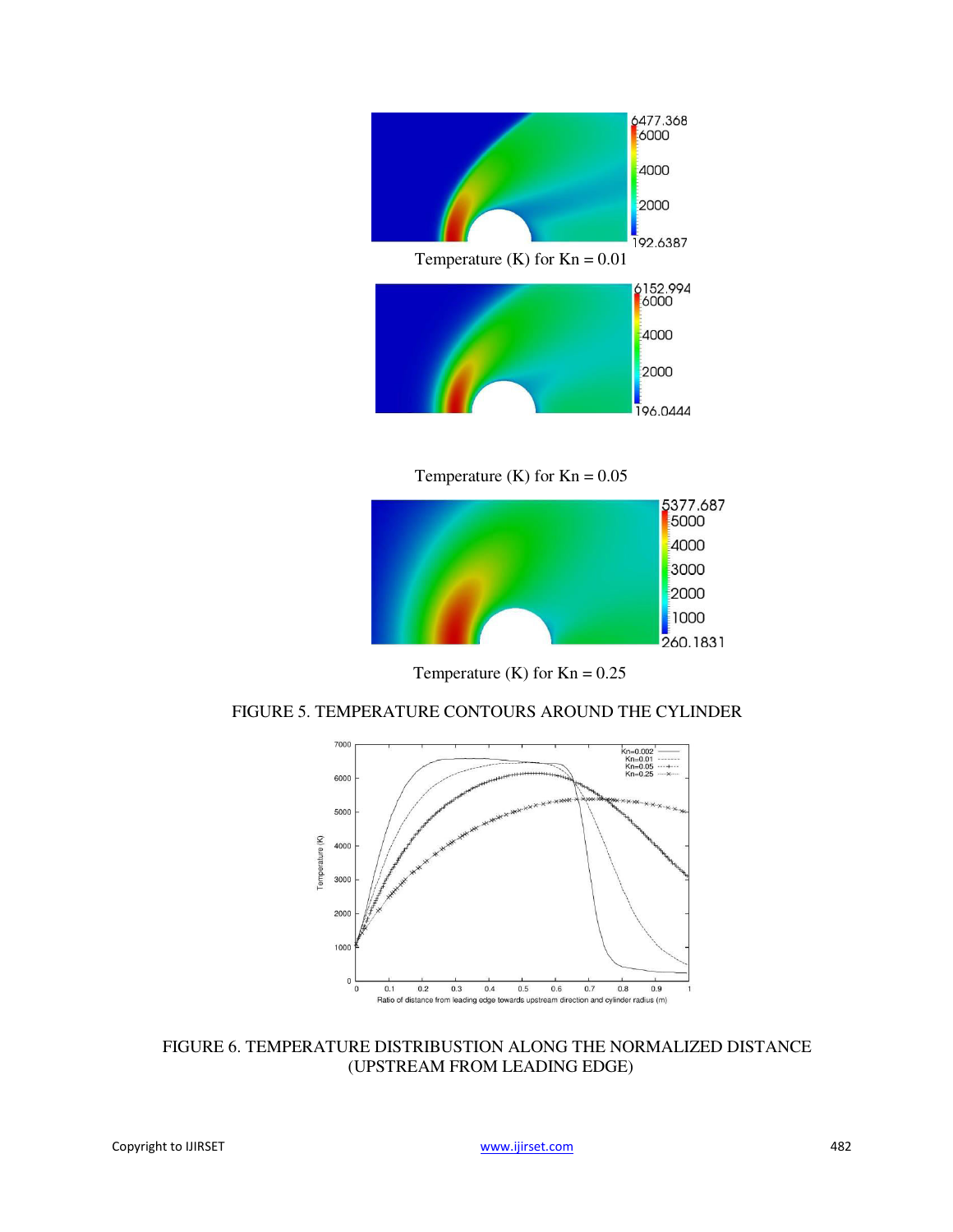

Temperature (K) for  $Kn = 0.05$ 



Temperature (K) for  $Kn = 0.25$ 





FIGURE 6. TEMPERATURE DISTRIBUSTION ALONG THE NORMALIZED DISTANCE (UPSTREAM FROM LEADING EDGE)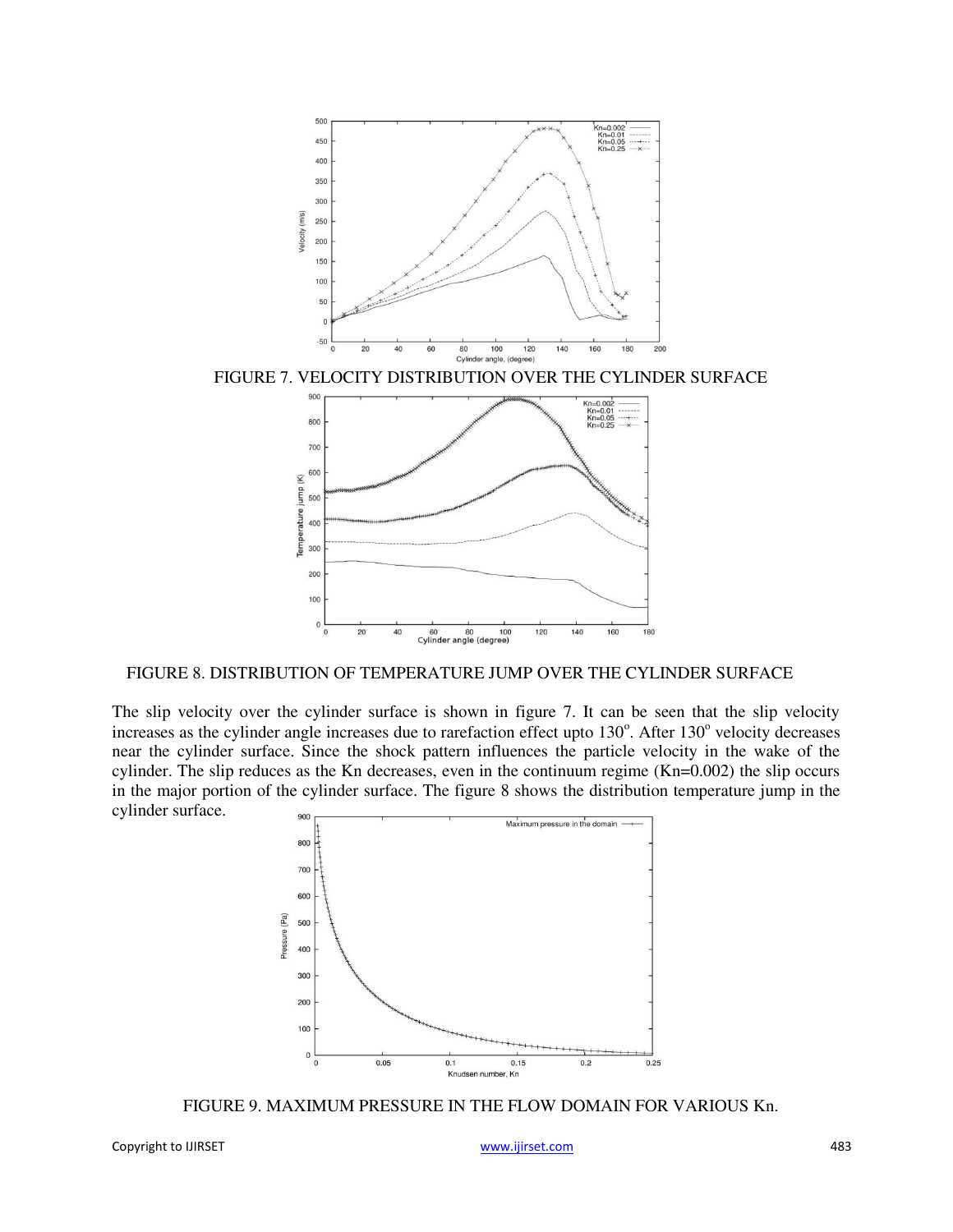

FIGURE 7. VELOCITY DISTRIBUTION OVER THE CYLINDER SURFACE



FIGURE 8. DISTRIBUTION OF TEMPERATURE JUMP OVER THE CYLINDER SURFACE

The slip velocity over the cylinder surface is shown in figure 7. It can be seen that the slip velocity increases as the cylinder angle increases due to rarefaction effect upto 130°. After 130° velocity decreases near the cylinder surface. Since the shock pattern influences the particle velocity in the wake of the cylinder. The slip reduces as the Kn decreases, even in the continuum regime (Kn=0.002) the slip occurs in the major portion of the cylinder surface. The figure 8 shows the distribution temperature jump in the cylinder surface.



FIGURE 9. MAXIMUM PRESSURE IN THE FLOW DOMAIN FOR VARIOUS Kn.